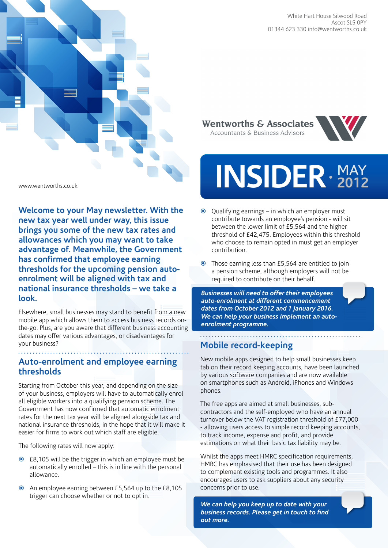

**Wentworths & Associates** Accountants & Business Advisors



# INSIDER · 2012 **2012**

- Qualifying earnings in which an employer must contribute towards an employee's pension - will sit between the lower limit of £5,564 and the higher threshold of £42,475. Employees within this threshold who choose to remain opted in must get an employer contribution.
- Those earning less than £5,564 are entitled to join a pension scheme, although employers will not be required to contribute on their behalf.

*Businesses will need to offer their employees auto-enrolment at different commencement dates from October 2012 and 1 January 2016. We can help your business implement an autoenrolment programme.*

### **Mobile record-keeping**

New mobile apps designed to help small businesses keep tab on their record keeping accounts, have been launched by various software companies and are now available on smartphones such as Android, iPhones and Windows phones.

The free apps are aimed at small businesses, subcontractors and the self-employed who have an annual turnover below the VAT registration threshold of £77,000 - allowing users access to simple record keeping accounts, to track income, expense and profit, and provide estimations on what their basic tax liability may be.

Whilst the apps meet HMRC specification requirements, HMRC has emphasised that their use has been designed to complement existing tools and programmes. It also encourages users to ask suppliers about any security concerns prior to use.

*We can help you keep up to date with your business records. Please get in touch to find out more.*

www.wentworths.co.uk

insidermay2012

**Welcome to your May newsletter. With the new tax year well under way, this issue brings you some of the new tax rates and allowances which you may want to take advantage of. Meanwhile, the Government has confirmed that employee earning thresholds for the upcoming pension autoenrolment will be aligned with tax and national insurance thresholds – we take a look.** 

Elsewhere, small businesses may stand to benefit from a new mobile app which allows them to access business records onthe-go. Plus, are you aware that different business accounting dates may offer various advantages, or disadvantages for your business?

### **Auto-enrolment and employee earning thresholds**

Starting from October this year, and depending on the size of your business, employers will have to automatically enrol all eligible workers into a qualifying pension scheme. The Government has now confirmed that automatic enrolment rates for the next tax year will be aligned alongside tax and national insurance thresholds, in the hope that it will make it easier for firms to work out which staff are eligible.

The following rates will now apply:

- £8,105 will be the trigger in which an employee must be automatically enrolled – this is in line with the personal allowance.
- An employee earning between £5,564 up to the £8,105 trigger can choose whether or not to opt in.